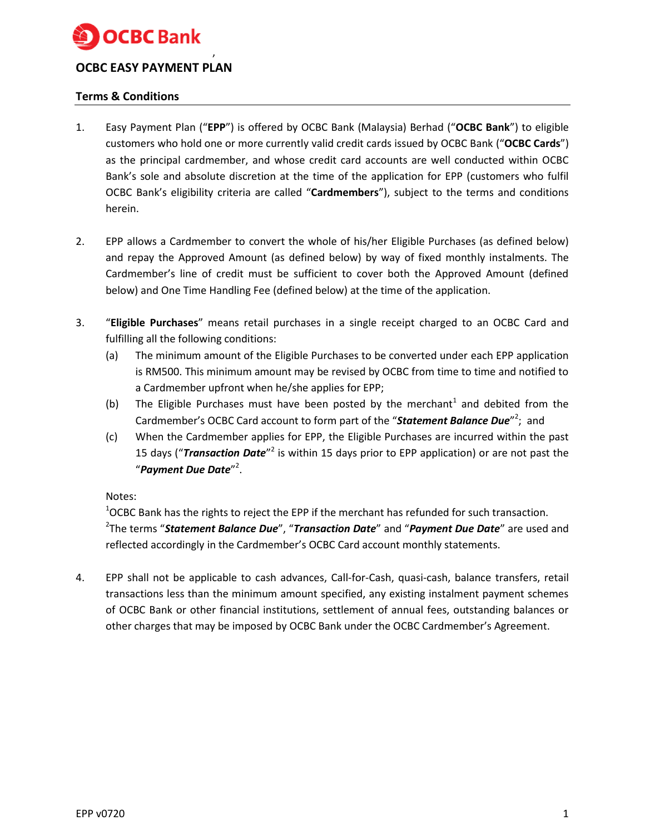

# **OCBC EASY PAYMENT PLAN**

,

## **Terms & Conditions**

- 1. Easy Payment Plan ("**EPP**") is offered by OCBC Bank (Malaysia) Berhad ("**OCBC Bank**") to eligible customers who hold one or more currently valid credit cards issued by OCBC Bank ("**OCBC Cards**") as the principal cardmember, and whose credit card accounts are well conducted within OCBC Bank's sole and absolute discretion at the time of the application for EPP (customers who fulfil OCBC Bank's eligibility criteria are called "**Cardmembers**"), subject to the terms and conditions herein.
- 2. EPP allows a Cardmember to convert the whole of his/her Eligible Purchases (as defined below) and repay the Approved Amount (as defined below) by way of fixed monthly instalments. The Cardmember's line of credit must be sufficient to cover both the Approved Amount (defined below) and One Time Handling Fee (defined below) at the time of the application.
- 3. "**Eligible Purchases**" means retail purchases in a single receipt charged to an OCBC Card and fulfilling all the following conditions:
	- (a) The minimum amount of the Eligible Purchases to be converted under each EPP application is RM500. This minimum amount may be revised by OCBC from time to time and notified to a Cardmember upfront when he/she applies for EPP;
	- (b) The Eligible Purchases must have been posted by the merchant<sup>1</sup> and debited from the Cardmember's OCBC Card account to form part of the "Statement Balance Due"<sup>2</sup>; and
	- (c) When the Cardmember applies for EPP, the Eligible Purchases are incurred within the past 15 days ("Transaction Date"<sup>2</sup> is within 15 days prior to EPP application) or are not past the "*Payment Due Date*" 2 .

### Notes:

<sup>1</sup>OCBC Bank has the rights to reject the EPP if the merchant has refunded for such transaction. 2 The terms "*Statement Balance Due*", "*Transaction Date*" and "*Payment Due Date*" are used and reflected accordingly in the Cardmember's OCBC Card account monthly statements.

4. EPP shall not be applicable to cash advances, Call-for-Cash, quasi-cash, balance transfers, retail transactions less than the minimum amount specified, any existing instalment payment schemes of OCBC Bank or other financial institutions, settlement of annual fees, outstanding balances or other charges that may be imposed by OCBC Bank under the OCBC Cardmember's Agreement.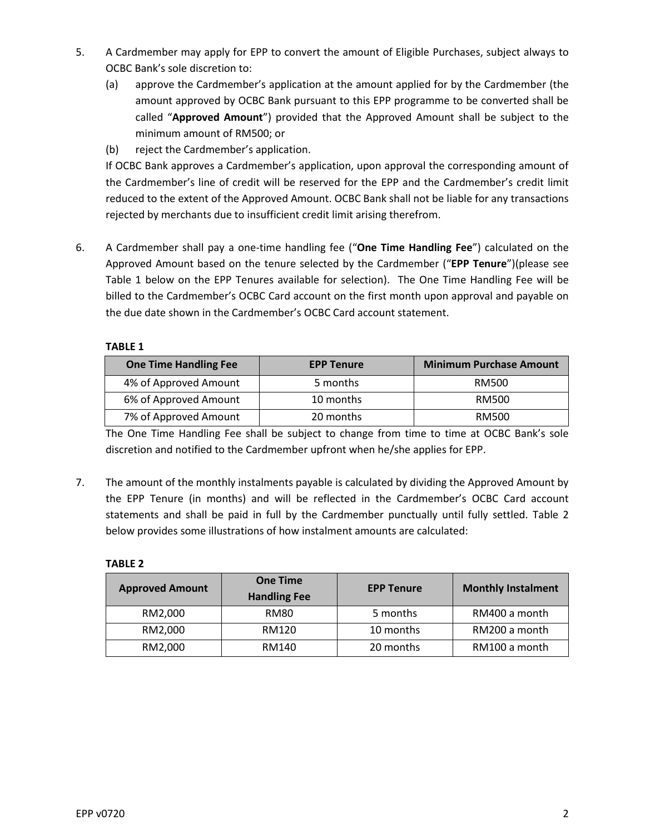- 5. A Cardmember may apply for EPP to convert the amount of Eligible Purchases, subject always to OCBC Bank's sole discretion to:
	- (a) approve the Cardmember's application at the amount applied for by the Cardmember (the amount approved by OCBC Bank pursuant to this EPP programme to be converted shall be called "**Approved Amount**") provided that the Approved Amount shall be subject to the minimum amount of RM500; or
	- (b) reject the Cardmember's application.

If OCBC Bank approves a Cardmember's application, upon approval the corresponding amount of the Cardmember's line of credit will be reserved for the EPP and the Cardmember's credit limit reduced to the extent of the Approved Amount. OCBC Bank shall not be liable for any transactions rejected by merchants due to insufficient credit limit arising therefrom.

6. A Cardmember shall pay a one-time handling fee ("**One Time Handling Fee**") calculated on the Approved Amount based on the tenure selected by the Cardmember ("**EPP Tenure**")(please see Table 1 below on the EPP Tenures available for selection). The One Time Handling Fee will be billed to the Cardmember's OCBC Card account on the first month upon approval and payable on the due date shown in the Cardmember's OCBC Card account statement.

### **TABLE 1**

| <b>One Time Handling Fee</b> | <b>EPP Tenure</b> | <b>Minimum Purchase Amount</b> |
|------------------------------|-------------------|--------------------------------|
| 4% of Approved Amount        | 5 months          | RM500                          |
| 6% of Approved Amount        | 10 months         | RM500                          |
| 7% of Approved Amount        | 20 months         | RM500                          |

The One Time Handling Fee shall be subject to change from time to time at OCBC Bank's sole discretion and notified to the Cardmember upfront when he/she applies for EPP.

7. The amount of the monthly instalments payable is calculated by dividing the Approved Amount by the EPP Tenure (in months) and will be reflected in the Cardmember's OCBC Card account statements and shall be paid in full by the Cardmember punctually until fully settled. Table 2 below provides some illustrations of how instalment amounts are calculated:

### **TABLE 2**

| <b>Approved Amount</b> | <b>One Time</b><br><b>Handling Fee</b> | <b>EPP Tenure</b> | <b>Monthly Instalment</b> |
|------------------------|----------------------------------------|-------------------|---------------------------|
| RM2.000                | <b>RM80</b>                            | 5 months          | RM400 a month             |
| RM2,000                | RM120                                  | 10 months         | RM200 a month             |
| RM2,000                | RM140                                  | 20 months         | RM100 a month             |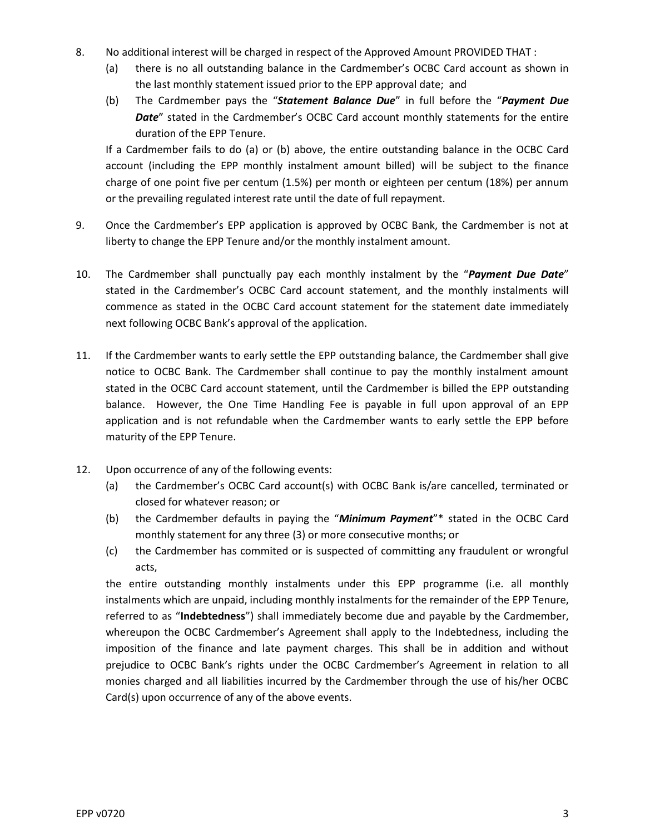- 8. No additional interest will be charged in respect of the Approved Amount PROVIDED THAT :
	- (a) there is no all outstanding balance in the Cardmember's OCBC Card account as shown in the last monthly statement issued prior to the EPP approval date; and
	- (b) The Cardmember pays the "*Statement Balance Due*" in full before the "*Payment Due*  **Date**" stated in the Cardmember's OCBC Card account monthly statements for the entire duration of the EPP Tenure.

If a Cardmember fails to do (a) or (b) above, the entire outstanding balance in the OCBC Card account (including the EPP monthly instalment amount billed) will be subject to the finance charge of one point five per centum (1.5%) per month or eighteen per centum (18%) per annum or the prevailing regulated interest rate until the date of full repayment.

- 9. Once the Cardmember's EPP application is approved by OCBC Bank, the Cardmember is not at liberty to change the EPP Tenure and/or the monthly instalment amount.
- 10. The Cardmember shall punctually pay each monthly instalment by the "*Payment Due Date*" stated in the Cardmember's OCBC Card account statement, and the monthly instalments will commence as stated in the OCBC Card account statement for the statement date immediately next following OCBC Bank's approval of the application.
- 11. If the Cardmember wants to early settle the EPP outstanding balance, the Cardmember shall give notice to OCBC Bank. The Cardmember shall continue to pay the monthly instalment amount stated in the OCBC Card account statement, until the Cardmember is billed the EPP outstanding balance. However, the One Time Handling Fee is payable in full upon approval of an EPP application and is not refundable when the Cardmember wants to early settle the EPP before maturity of the EPP Tenure.
- 12. Upon occurrence of any of the following events:
	- (a) the Cardmember's OCBC Card account(s) with OCBC Bank is/are cancelled, terminated or closed for whatever reason; or
	- (b) the Cardmember defaults in paying the "*Minimum Payment*"\* stated in the OCBC Card monthly statement for any three (3) or more consecutive months; or
	- (c) the Cardmember has commited or is suspected of committing any fraudulent or wrongful acts,

the entire outstanding monthly instalments under this EPP programme (i.e. all monthly instalments which are unpaid, including monthly instalments for the remainder of the EPP Tenure, referred to as "**Indebtedness**") shall immediately become due and payable by the Cardmember, whereupon the OCBC Cardmember's Agreement shall apply to the Indebtedness, including the imposition of the finance and late payment charges. This shall be in addition and without prejudice to OCBC Bank's rights under the OCBC Cardmember's Agreement in relation to all monies charged and all liabilities incurred by the Cardmember through the use of his/her OCBC Card(s) upon occurrence of any of the above events.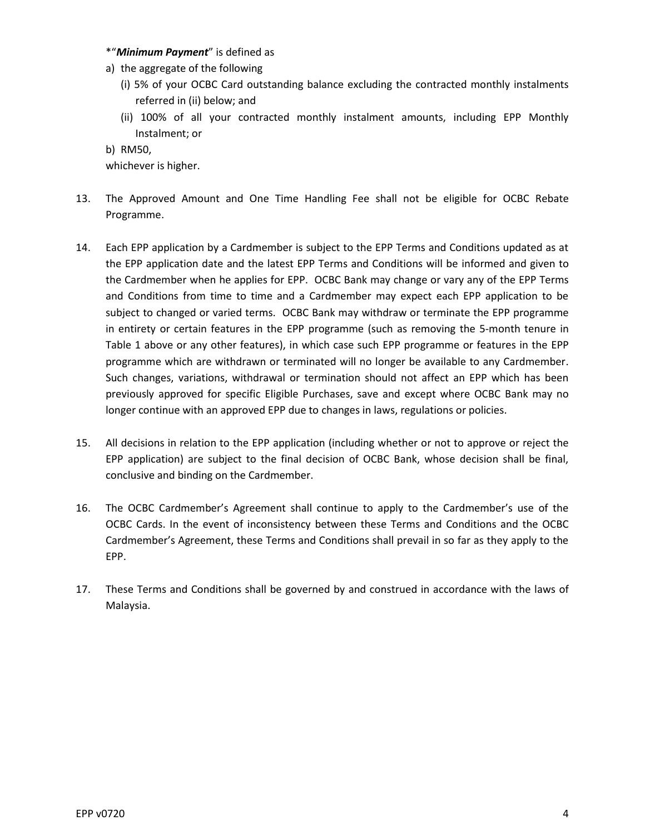#### \*"*Minimum Payment*" is defined as

- a) the aggregate of the following
	- (i) 5% of your OCBC Card outstanding balance excluding the contracted monthly instalments referred in (ii) below; and
	- (ii) 100% of all your contracted monthly instalment amounts, including EPP Monthly Instalment; or

b) RM50,

whichever is higher.

- 13. The Approved Amount and One Time Handling Fee shall not be eligible for OCBC Rebate Programme.
- 14. Each EPP application by a Cardmember is subject to the EPP Terms and Conditions updated as at the EPP application date and the latest EPP Terms and Conditions will be informed and given to the Cardmember when he applies for EPP. OCBC Bank may change or vary any of the EPP Terms and Conditions from time to time and a Cardmember may expect each EPP application to be subject to changed or varied terms. OCBC Bank may withdraw or terminate the EPP programme in entirety or certain features in the EPP programme (such as removing the 5-month tenure in Table 1 above or any other features), in which case such EPP programme or features in the EPP programme which are withdrawn or terminated will no longer be available to any Cardmember. Such changes, variations, withdrawal or termination should not affect an EPP which has been previously approved for specific Eligible Purchases, save and except where OCBC Bank may no longer continue with an approved EPP due to changes in laws, regulations or policies.
- 15. All decisions in relation to the EPP application (including whether or not to approve or reject the EPP application) are subject to the final decision of OCBC Bank, whose decision shall be final, conclusive and binding on the Cardmember.
- 16. The OCBC Cardmember's Agreement shall continue to apply to the Cardmember's use of the OCBC Cards. In the event of inconsistency between these Terms and Conditions and the OCBC Cardmember's Agreement, these Terms and Conditions shall prevail in so far as they apply to the EPP.
- 17. These Terms and Conditions shall be governed by and construed in accordance with the laws of Malaysia.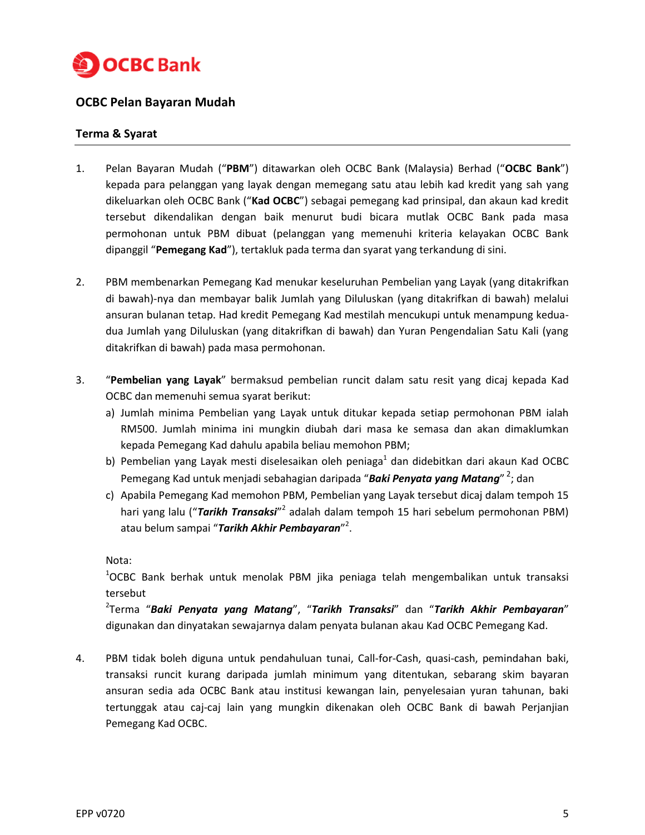

## **OCBC Pelan Bayaran Mudah**

## **Terma & Syarat**

- 1. Pelan Bayaran Mudah ("**PBM**") ditawarkan oleh OCBC Bank (Malaysia) Berhad ("**OCBC Bank**") kepada para pelanggan yang layak dengan memegang satu atau lebih kad kredit yang sah yang dikeluarkan oleh OCBC Bank ("**Kad OCBC**") sebagai pemegang kad prinsipal, dan akaun kad kredit tersebut dikendalikan dengan baik menurut budi bicara mutlak OCBC Bank pada masa permohonan untuk PBM dibuat (pelanggan yang memenuhi kriteria kelayakan OCBC Bank dipanggil "**Pemegang Kad**"), tertakluk pada terma dan syarat yang terkandung di sini.
- 2. PBM membenarkan Pemegang Kad menukar keseluruhan Pembelian yang Layak (yang ditakrifkan di bawah)-nya dan membayar balik Jumlah yang Diluluskan (yang ditakrifkan di bawah) melalui ansuran bulanan tetap. Had kredit Pemegang Kad mestilah mencukupi untuk menampung keduadua Jumlah yang Diluluskan (yang ditakrifkan di bawah) dan Yuran Pengendalian Satu Kali (yang ditakrifkan di bawah) pada masa permohonan.
- 3. "**Pembelian yang Layak**" bermaksud pembelian runcit dalam satu resit yang dicaj kepada Kad OCBC dan memenuhi semua syarat berikut:
	- a) Jumlah minima Pembelian yang Layak untuk ditukar kepada setiap permohonan PBM ialah RM500. Jumlah minima ini mungkin diubah dari masa ke semasa dan akan dimaklumkan kepada Pemegang Kad dahulu apabila beliau memohon PBM;
	- b) Pembelian yang Layak mesti diselesaikan oleh peniaga<sup>1</sup> dan didebitkan dari akaun Kad OCBC Pemegang Kad untuk menjadi sebahagian daripada "**Baki Penyata yang Matang**" <sup>2</sup>; dan
	- c) Apabila Pemegang Kad memohon PBM, Pembelian yang Layak tersebut dicaj dalam tempoh 15 hari yang lalu ("Tarikh Transaksi"<sup>2</sup> adalah dalam tempoh 15 hari sebelum permohonan PBM) atau belum sampai "**Tarikh Akhir Pembayaran**"<sup>2</sup>.

Nota:

<sup>1</sup>OCBC Bank berhak untuk menolak PBM jika peniaga telah mengembalikan untuk transaksi tersebut

2 Terma "*Baki Penyata yang Matang*", "*Tarikh Transaksi*" dan "*Tarikh Akhir Pembayaran*" digunakan dan dinyatakan sewajarnya dalam penyata bulanan akau Kad OCBC Pemegang Kad.

4. PBM tidak boleh diguna untuk pendahuluan tunai, Call-for-Cash, quasi-cash, pemindahan baki, transaksi runcit kurang daripada jumlah minimum yang ditentukan, sebarang skim bayaran ansuran sedia ada OCBC Bank atau institusi kewangan lain, penyelesaian yuran tahunan, baki tertunggak atau caj-caj lain yang mungkin dikenakan oleh OCBC Bank di bawah Perjanjian Pemegang Kad OCBC.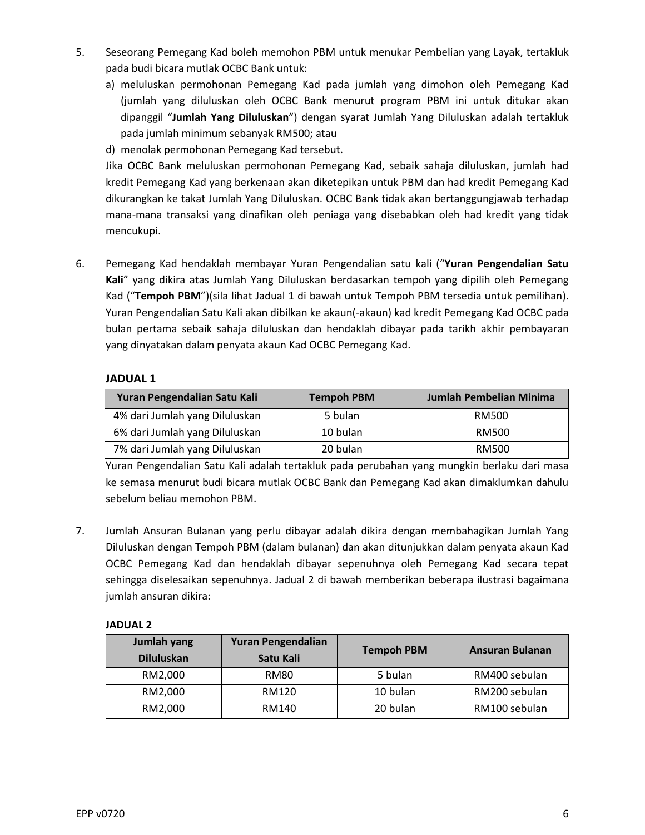- 5. Seseorang Pemegang Kad boleh memohon PBM untuk menukar Pembelian yang Layak, tertakluk pada budi bicara mutlak OCBC Bank untuk:
	- a) meluluskan permohonan Pemegang Kad pada jumlah yang dimohon oleh Pemegang Kad (jumlah yang diluluskan oleh OCBC Bank menurut program PBM ini untuk ditukar akan dipanggil "**Jumlah Yang Diluluskan**") dengan syarat Jumlah Yang Diluluskan adalah tertakluk pada jumlah minimum sebanyak RM500; atau
	- d) menolak permohonan Pemegang Kad tersebut.

Jika OCBC Bank meluluskan permohonan Pemegang Kad, sebaik sahaja diluluskan, jumlah had kredit Pemegang Kad yang berkenaan akan diketepikan untuk PBM dan had kredit Pemegang Kad dikurangkan ke takat Jumlah Yang Diluluskan. OCBC Bank tidak akan bertanggungjawab terhadap mana-mana transaksi yang dinafikan oleh peniaga yang disebabkan oleh had kredit yang tidak mencukupi.

6. Pemegang Kad hendaklah membayar Yuran Pengendalian satu kali ("**Yuran Pengendalian Satu Kali**" yang dikira atas Jumlah Yang Diluluskan berdasarkan tempoh yang dipilih oleh Pemegang Kad ("**Tempoh PBM**")(sila lihat Jadual 1 di bawah untuk Tempoh PBM tersedia untuk pemilihan). Yuran Pengendalian Satu Kali akan dibilkan ke akaun(-akaun) kad kredit Pemegang Kad OCBC pada bulan pertama sebaik sahaja diluluskan dan hendaklah dibayar pada tarikh akhir pembayaran yang dinyatakan dalam penyata akaun Kad OCBC Pemegang Kad.

## **JADUAL 1**

| Yuran Pengendalian Satu Kali   | <b>Tempoh PBM</b> | Jumlah Pembelian Minima |
|--------------------------------|-------------------|-------------------------|
| 4% dari Jumlah yang Diluluskan | 5 bulan           | RM500                   |
| 6% dari Jumlah yang Diluluskan | 10 bulan          | RM500                   |
| 7% dari Jumlah yang Diluluskan | 20 bulan          | RM500                   |

Yuran Pengendalian Satu Kali adalah tertakluk pada perubahan yang mungkin berlaku dari masa ke semasa menurut budi bicara mutlak OCBC Bank dan Pemegang Kad akan dimaklumkan dahulu sebelum beliau memohon PBM.

7. Jumlah Ansuran Bulanan yang perlu dibayar adalah dikira dengan membahagikan Jumlah Yang Diluluskan dengan Tempoh PBM (dalam bulanan) dan akan ditunjukkan dalam penyata akaun Kad OCBC Pemegang Kad dan hendaklah dibayar sepenuhnya oleh Pemegang Kad secara tepat sehingga diselesaikan sepenuhnya. Jadual 2 di bawah memberikan beberapa ilustrasi bagaimana jumlah ansuran dikira:

## **JADUAL 2**

| Jumlah yang<br><b>Diluluskan</b> | <b>Yuran Pengendalian</b><br>Satu Kali | <b>Tempoh PBM</b> | Ansuran Bulanan |
|----------------------------------|----------------------------------------|-------------------|-----------------|
| RM2,000                          | <b>RM80</b>                            | 5 bulan           | RM400 sebulan   |
| RM2,000                          | RM120                                  | 10 bulan          | RM200 sebulan   |
| RM2,000                          | RM140                                  | 20 bulan          | RM100 sebulan   |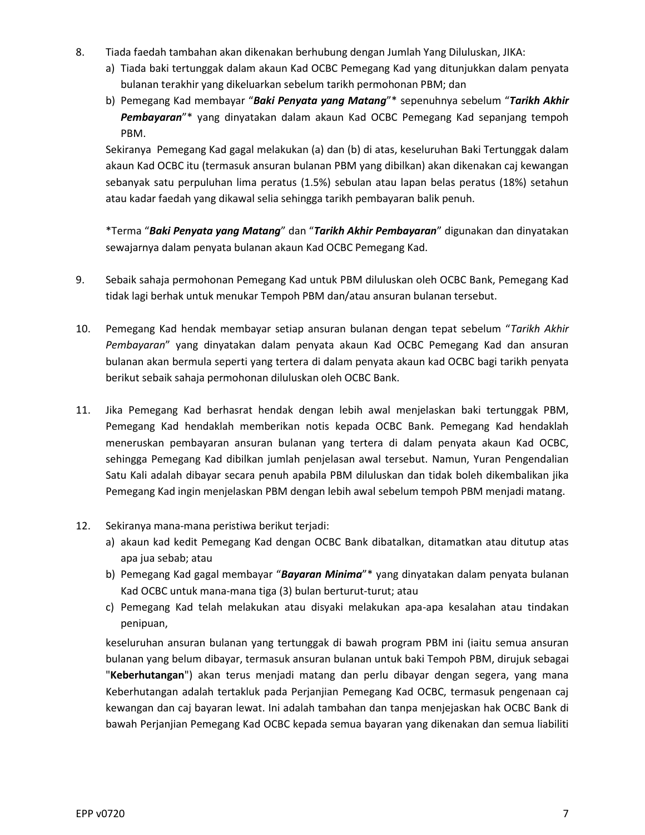- 8. Tiada faedah tambahan akan dikenakan berhubung dengan Jumlah Yang Diluluskan, JIKA:
	- a) Tiada baki tertunggak dalam akaun Kad OCBC Pemegang Kad yang ditunjukkan dalam penyata bulanan terakhir yang dikeluarkan sebelum tarikh permohonan PBM; dan
	- b) Pemegang Kad membayar "*Baki Penyata yang Matang*"\* sepenuhnya sebelum "*Tarikh Akhir Pembayaran*"\* yang dinyatakan dalam akaun Kad OCBC Pemegang Kad sepanjang tempoh PBM.

Sekiranya Pemegang Kad gagal melakukan (a) dan (b) di atas, keseluruhan Baki Tertunggak dalam akaun Kad OCBC itu (termasuk ansuran bulanan PBM yang dibilkan) akan dikenakan caj kewangan sebanyak satu perpuluhan lima peratus (1.5%) sebulan atau lapan belas peratus (18%) setahun atau kadar faedah yang dikawal selia sehingga tarikh pembayaran balik penuh.

\*Terma "*Baki Penyata yang Matang*" dan "*Tarikh Akhir Pembayaran*" digunakan dan dinyatakan sewajarnya dalam penyata bulanan akaun Kad OCBC Pemegang Kad.

- 9. Sebaik sahaja permohonan Pemegang Kad untuk PBM diluluskan oleh OCBC Bank, Pemegang Kad tidak lagi berhak untuk menukar Tempoh PBM dan/atau ansuran bulanan tersebut.
- 10. Pemegang Kad hendak membayar setiap ansuran bulanan dengan tepat sebelum "*Tarikh Akhir Pembayaran*" yang dinyatakan dalam penyata akaun Kad OCBC Pemegang Kad dan ansuran bulanan akan bermula seperti yang tertera di dalam penyata akaun kad OCBC bagi tarikh penyata berikut sebaik sahaja permohonan diluluskan oleh OCBC Bank.
- 11. Jika Pemegang Kad berhasrat hendak dengan lebih awal menjelaskan baki tertunggak PBM, Pemegang Kad hendaklah memberikan notis kepada OCBC Bank. Pemegang Kad hendaklah meneruskan pembayaran ansuran bulanan yang tertera di dalam penyata akaun Kad OCBC, sehingga Pemegang Kad dibilkan jumlah penjelasan awal tersebut. Namun, Yuran Pengendalian Satu Kali adalah dibayar secara penuh apabila PBM diluluskan dan tidak boleh dikembalikan jika Pemegang Kad ingin menjelaskan PBM dengan lebih awal sebelum tempoh PBM menjadi matang.
- 12. Sekiranya mana-mana peristiwa berikut terjadi:
	- a) akaun kad kedit Pemegang Kad dengan OCBC Bank dibatalkan, ditamatkan atau ditutup atas apa jua sebab; atau
	- b) Pemegang Kad gagal membayar "*Bayaran Minima*"\* yang dinyatakan dalam penyata bulanan Kad OCBC untuk mana-mana tiga (3) bulan berturut-turut; atau
	- c) Pemegang Kad telah melakukan atau disyaki melakukan apa-apa kesalahan atau tindakan penipuan,

keseluruhan ansuran bulanan yang tertunggak di bawah program PBM ini (iaitu semua ansuran bulanan yang belum dibayar, termasuk ansuran bulanan untuk baki Tempoh PBM, dirujuk sebagai "**Keberhutangan**") akan terus menjadi matang dan perlu dibayar dengan segera, yang mana Keberhutangan adalah tertakluk pada Perjanjian Pemegang Kad OCBC, termasuk pengenaan caj kewangan dan caj bayaran lewat. Ini adalah tambahan dan tanpa menjejaskan hak OCBC Bank di bawah Perjanjian Pemegang Kad OCBC kepada semua bayaran yang dikenakan dan semua liabiliti